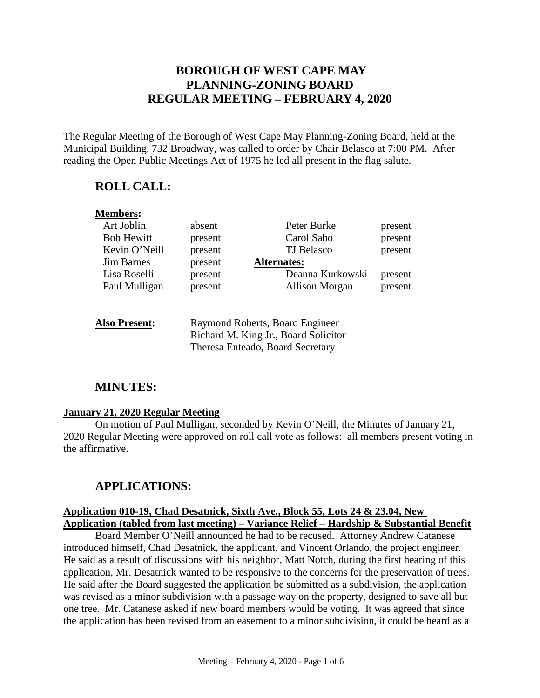# **BOROUGH OF WEST CAPE MAY PLANNING-ZONING BOARD REGULAR MEETING – FEBRUARY 4, 2020**

The Regular Meeting of the Borough of West Cape May Planning-Zoning Board, held at the Municipal Building, 732 Broadway, was called to order by Chair Belasco at 7:00 PM. After reading the Open Public Meetings Act of 1975 he led all present in the flag salute.

### **ROLL CALL:**

| <b>Members:</b>      |                                                                                                             |                    |         |
|----------------------|-------------------------------------------------------------------------------------------------------------|--------------------|---------|
| Art Joblin           | absent                                                                                                      | Peter Burke        | present |
| <b>Bob Hewitt</b>    | present                                                                                                     | Carol Sabo         | present |
| Kevin O'Neill        | present                                                                                                     | <b>TJ</b> Belasco  | present |
| <b>Jim Barnes</b>    | present                                                                                                     | <b>Alternates:</b> |         |
| Lisa Roselli         | present                                                                                                     | Deanna Kurkowski   | present |
| Paul Mulligan        | present                                                                                                     | Allison Morgan     | present |
| <b>Also Present:</b> | Raymond Roberts, Board Engineer<br>Richard M. King Jr., Board Solicitor<br>Theresa Enteado, Board Secretary |                    |         |

# **MINUTES:**

#### **January 21, 2020 Regular Meeting**

On motion of Paul Mulligan, seconded by Kevin O'Neill, the Minutes of January 21, 2020 Regular Meeting were approved on roll call vote as follows: all members present voting in the affirmative.

# **APPLICATIONS:**

### **Application 010-19, Chad Desatnick, Sixth Ave., Block 55, Lots 24 & 23.04, New Application (tabled from last meeting) – Variance Relief – Hardship & Substantial Benefit**

Board Member O'Neill announced he had to be recused. Attorney Andrew Catanese introduced himself, Chad Desatnick, the applicant, and Vincent Orlando, the project engineer. He said as a result of discussions with his neighbor, Matt Notch, during the first hearing of this application, Mr. Desatnick wanted to be responsive to the concerns for the preservation of trees. He said after the Board suggested the application be submitted as a subdivision, the application was revised as a minor subdivision with a passage way on the property, designed to save all but one tree. Mr. Catanese asked if new board members would be voting. It was agreed that since the application has been revised from an easement to a minor subdivision, it could be heard as a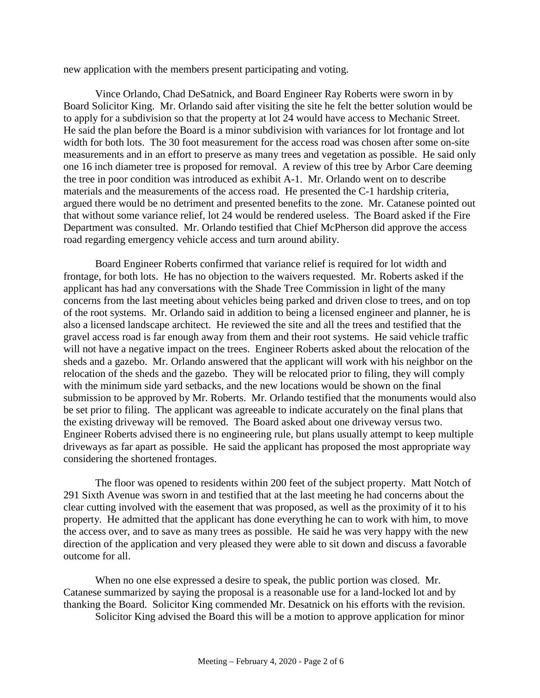new application with the members present participating and voting.

Vince Orlando, Chad DeSatnick, and Board Engineer Ray Roberts were sworn in by Board Solicitor King. Mr. Orlando said after visiting the site he felt the better solution would be to apply for a subdivision so that the property at lot 24 would have access to Mechanic Street. He said the plan before the Board is a minor subdivision with variances for lot frontage and lot width for both lots. The 30 foot measurement for the access road was chosen after some on-site measurements and in an effort to preserve as many trees and vegetation as possible. He said only one 16 inch diameter tree is proposed for removal. A review of this tree by Arbor Care deeming the tree in poor condition was introduced as exhibit A-1. Mr. Orlando went on to describe materials and the measurements of the access road. He presented the C-1 hardship criteria, argued there would be no detriment and presented benefits to the zone. Mr. Catanese pointed out that without some variance relief, lot 24 would be rendered useless. The Board asked if the Fire Department was consulted. Mr. Orlando testified that Chief McPherson did approve the access road regarding emergency vehicle access and turn around ability.

Board Engineer Roberts confirmed that variance relief is required for lot width and frontage, for both lots. He has no objection to the waivers requested. Mr. Roberts asked if the applicant has had any conversations with the Shade Tree Commission in light of the many concerns from the last meeting about vehicles being parked and driven close to trees, and on top of the root systems. Mr. Orlando said in addition to being a licensed engineer and planner, he is also a licensed landscape architect. He reviewed the site and all the trees and testified that the gravel access road is far enough away from them and their root systems. He said vehicle traffic will not have a negative impact on the trees. Engineer Roberts asked about the relocation of the sheds and a gazebo. Mr. Orlando answered that the applicant will work with his neighbor on the relocation of the sheds and the gazebo. They will be relocated prior to filing, they will comply with the minimum side yard setbacks, and the new locations would be shown on the final submission to be approved by Mr. Roberts. Mr. Orlando testified that the monuments would also be set prior to filing. The applicant was agreeable to indicate accurately on the final plans that the existing driveway will be removed. The Board asked about one driveway versus two. Engineer Roberts advised there is no engineering rule, but plans usually attempt to keep multiple driveways as far apart as possible. He said the applicant has proposed the most appropriate way considering the shortened frontages.

The floor was opened to residents within 200 feet of the subject property. Matt Notch of 291 Sixth Avenue was sworn in and testified that at the last meeting he had concerns about the clear cutting involved with the easement that was proposed, as well as the proximity of it to his property. He admitted that the applicant has done everything he can to work with him, to move the access over, and to save as many trees as possible. He said he was very happy with the new direction of the application and very pleased they were able to sit down and discuss a favorable outcome for all.

When no one else expressed a desire to speak, the public portion was closed. Mr. Catanese summarized by saying the proposal is a reasonable use for a land-locked lot and by thanking the Board. Solicitor King commended Mr. Desatnick on his efforts with the revision.

Solicitor King advised the Board this will be a motion to approve application for minor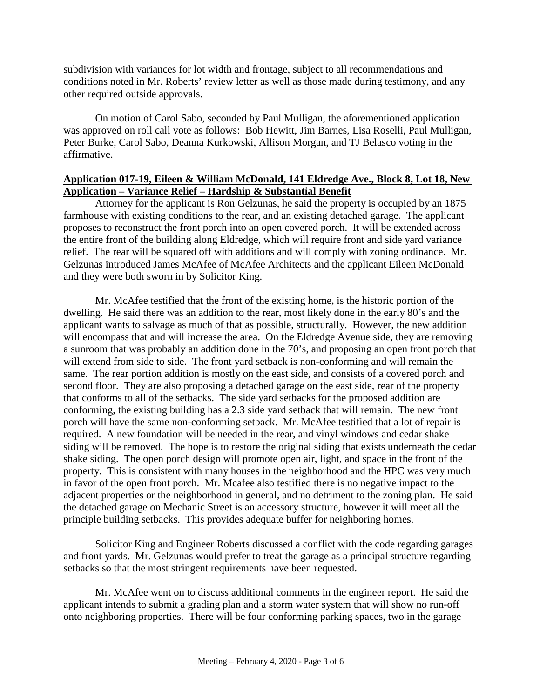subdivision with variances for lot width and frontage, subject to all recommendations and conditions noted in Mr. Roberts' review letter as well as those made during testimony, and any other required outside approvals.

On motion of Carol Sabo, seconded by Paul Mulligan, the aforementioned application was approved on roll call vote as follows: Bob Hewitt, Jim Barnes, Lisa Roselli, Paul Mulligan, Peter Burke, Carol Sabo, Deanna Kurkowski, Allison Morgan, and TJ Belasco voting in the affirmative.

#### **Application 017-19, Eileen & William McDonald, 141 Eldredge Ave., Block 8, Lot 18, New Application – Variance Relief – Hardship & Substantial Benefit**

Attorney for the applicant is Ron Gelzunas, he said the property is occupied by an 1875 farmhouse with existing conditions to the rear, and an existing detached garage. The applicant proposes to reconstruct the front porch into an open covered porch. It will be extended across the entire front of the building along Eldredge, which will require front and side yard variance relief. The rear will be squared off with additions and will comply with zoning ordinance. Mr. Gelzunas introduced James McAfee of McAfee Architects and the applicant Eileen McDonald and they were both sworn in by Solicitor King.

Mr. McAfee testified that the front of the existing home, is the historic portion of the dwelling. He said there was an addition to the rear, most likely done in the early 80's and the applicant wants to salvage as much of that as possible, structurally. However, the new addition will encompass that and will increase the area. On the Eldredge Avenue side, they are removing a sunroom that was probably an addition done in the 70's, and proposing an open front porch that will extend from side to side. The front yard setback is non-conforming and will remain the same. The rear portion addition is mostly on the east side, and consists of a covered porch and second floor. They are also proposing a detached garage on the east side, rear of the property that conforms to all of the setbacks. The side yard setbacks for the proposed addition are conforming, the existing building has a 2.3 side yard setback that will remain. The new front porch will have the same non-conforming setback. Mr. McAfee testified that a lot of repair is required. A new foundation will be needed in the rear, and vinyl windows and cedar shake siding will be removed. The hope is to restore the original siding that exists underneath the cedar shake siding. The open porch design will promote open air, light, and space in the front of the property. This is consistent with many houses in the neighborhood and the HPC was very much in favor of the open front porch. Mr. Mcafee also testified there is no negative impact to the adjacent properties or the neighborhood in general, and no detriment to the zoning plan. He said the detached garage on Mechanic Street is an accessory structure, however it will meet all the principle building setbacks. This provides adequate buffer for neighboring homes.

Solicitor King and Engineer Roberts discussed a conflict with the code regarding garages and front yards. Mr. Gelzunas would prefer to treat the garage as a principal structure regarding setbacks so that the most stringent requirements have been requested.

Mr. McAfee went on to discuss additional comments in the engineer report. He said the applicant intends to submit a grading plan and a storm water system that will show no run-off onto neighboring properties. There will be four conforming parking spaces, two in the garage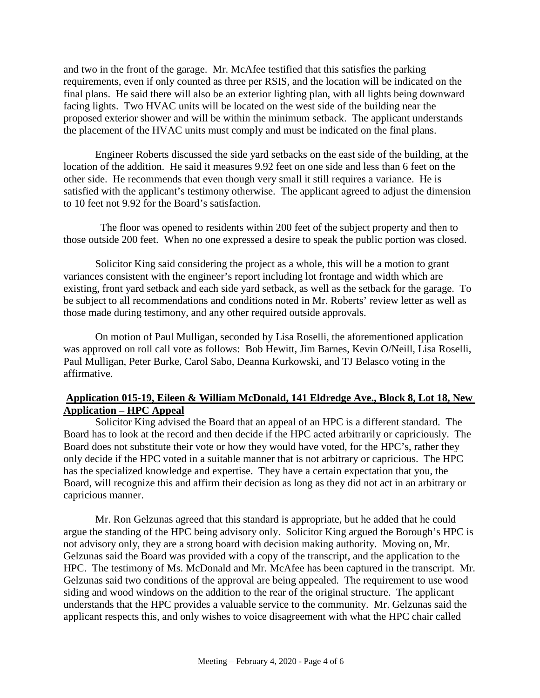and two in the front of the garage. Mr. McAfee testified that this satisfies the parking requirements, even if only counted as three per RSIS, and the location will be indicated on the final plans. He said there will also be an exterior lighting plan, with all lights being downward facing lights. Two HVAC units will be located on the west side of the building near the proposed exterior shower and will be within the minimum setback. The applicant understands the placement of the HVAC units must comply and must be indicated on the final plans.

Engineer Roberts discussed the side yard setbacks on the east side of the building, at the location of the addition. He said it measures 9.92 feet on one side and less than 6 feet on the other side. He recommends that even though very small it still requires a variance. He is satisfied with the applicant's testimony otherwise. The applicant agreed to adjust the dimension to 10 feet not 9.92 for the Board's satisfaction.

 The floor was opened to residents within 200 feet of the subject property and then to those outside 200 feet. When no one expressed a desire to speak the public portion was closed.

Solicitor King said considering the project as a whole, this will be a motion to grant variances consistent with the engineer's report including lot frontage and width which are existing, front yard setback and each side yard setback, as well as the setback for the garage. To be subject to all recommendations and conditions noted in Mr. Roberts' review letter as well as those made during testimony, and any other required outside approvals.

On motion of Paul Mulligan, seconded by Lisa Roselli, the aforementioned application was approved on roll call vote as follows: Bob Hewitt, Jim Barnes, Kevin O/Neill, Lisa Roselli, Paul Mulligan, Peter Burke, Carol Sabo, Deanna Kurkowski, and TJ Belasco voting in the affirmative.

#### **Application 015-19, Eileen & William McDonald, 141 Eldredge Ave., Block 8, Lot 18, New Application – HPC Appeal**

Solicitor King advised the Board that an appeal of an HPC is a different standard. The Board has to look at the record and then decide if the HPC acted arbitrarily or capriciously. The Board does not substitute their vote or how they would have voted, for the HPC's, rather they only decide if the HPC voted in a suitable manner that is not arbitrary or capricious. The HPC has the specialized knowledge and expertise. They have a certain expectation that you, the Board, will recognize this and affirm their decision as long as they did not act in an arbitrary or capricious manner.

Mr. Ron Gelzunas agreed that this standard is appropriate, but he added that he could argue the standing of the HPC being advisory only. Solicitor King argued the Borough's HPC is not advisory only, they are a strong board with decision making authority. Moving on, Mr. Gelzunas said the Board was provided with a copy of the transcript, and the application to the HPC. The testimony of Ms. McDonald and Mr. McAfee has been captured in the transcript. Mr. Gelzunas said two conditions of the approval are being appealed. The requirement to use wood siding and wood windows on the addition to the rear of the original structure. The applicant understands that the HPC provides a valuable service to the community. Mr. Gelzunas said the applicant respects this, and only wishes to voice disagreement with what the HPC chair called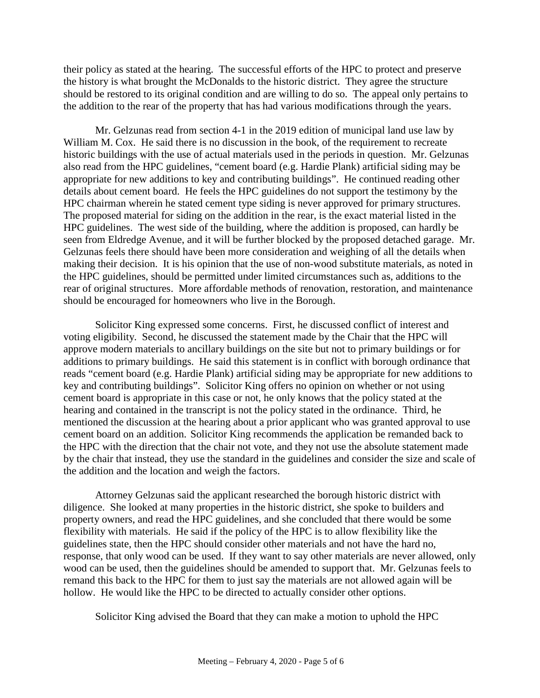their policy as stated at the hearing. The successful efforts of the HPC to protect and preserve the history is what brought the McDonalds to the historic district. They agree the structure should be restored to its original condition and are willing to do so. The appeal only pertains to the addition to the rear of the property that has had various modifications through the years.

Mr. Gelzunas read from section 4-1 in the 2019 edition of municipal land use law by William M. Cox. He said there is no discussion in the book, of the requirement to recreate historic buildings with the use of actual materials used in the periods in question. Mr. Gelzunas also read from the HPC guidelines, "cement board (e.g. Hardie Plank) artificial siding may be appropriate for new additions to key and contributing buildings". He continued reading other details about cement board. He feels the HPC guidelines do not support the testimony by the HPC chairman wherein he stated cement type siding is never approved for primary structures. The proposed material for siding on the addition in the rear, is the exact material listed in the HPC guidelines. The west side of the building, where the addition is proposed, can hardly be seen from Eldredge Avenue, and it will be further blocked by the proposed detached garage. Mr. Gelzunas feels there should have been more consideration and weighing of all the details when making their decision. It is his opinion that the use of non-wood substitute materials, as noted in the HPC guidelines, should be permitted under limited circumstances such as, additions to the rear of original structures. More affordable methods of renovation, restoration, and maintenance should be encouraged for homeowners who live in the Borough.

Solicitor King expressed some concerns. First, he discussed conflict of interest and voting eligibility. Second, he discussed the statement made by the Chair that the HPC will approve modern materials to ancillary buildings on the site but not to primary buildings or for additions to primary buildings. He said this statement is in conflict with borough ordinance that reads "cement board (e.g. Hardie Plank) artificial siding may be appropriate for new additions to key and contributing buildings". Solicitor King offers no opinion on whether or not using cement board is appropriate in this case or not, he only knows that the policy stated at the hearing and contained in the transcript is not the policy stated in the ordinance. Third, he mentioned the discussion at the hearing about a prior applicant who was granted approval to use cement board on an addition. Solicitor King recommends the application be remanded back to the HPC with the direction that the chair not vote, and they not use the absolute statement made by the chair that instead, they use the standard in the guidelines and consider the size and scale of the addition and the location and weigh the factors.

Attorney Gelzunas said the applicant researched the borough historic district with diligence. She looked at many properties in the historic district, she spoke to builders and property owners, and read the HPC guidelines, and she concluded that there would be some flexibility with materials. He said if the policy of the HPC is to allow flexibility like the guidelines state, then the HPC should consider other materials and not have the hard no, response, that only wood can be used. If they want to say other materials are never allowed, only wood can be used, then the guidelines should be amended to support that. Mr. Gelzunas feels to remand this back to the HPC for them to just say the materials are not allowed again will be hollow. He would like the HPC to be directed to actually consider other options.

Solicitor King advised the Board that they can make a motion to uphold the HPC